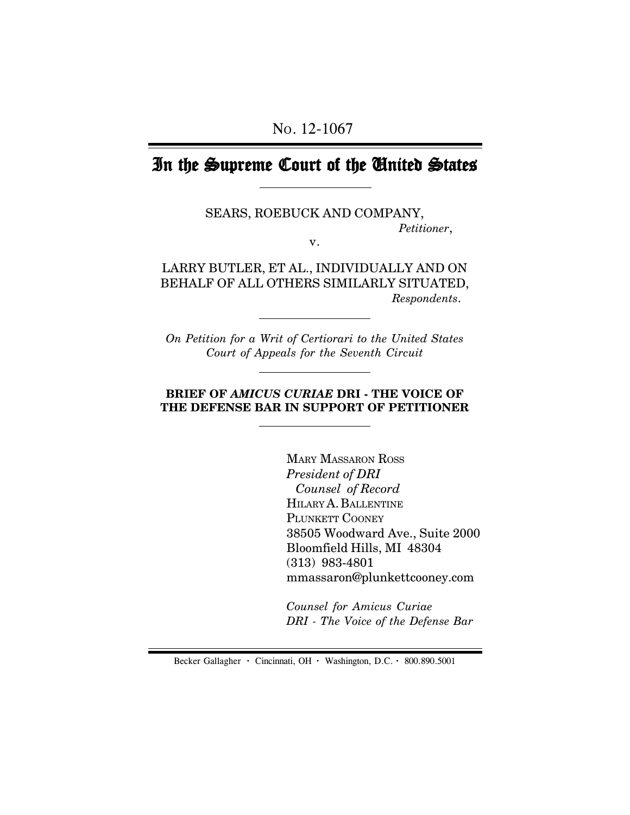# In the Supreme Court of the United States

SEARS, ROEBUCK AND COMPANY, *Petitioner*,

v.

LARRY BUTLER, ET AL., INDIVIDUALLY AND ON BEHALF OF ALL OTHERS SIMILARLY SITUATED,  *Respondents*.

*On Petition for a Writ of Certiorari to the United States Court of Appeals for the Seventh Circuit*

### **BRIEF OF** *AMICUS CURIAE* **DRI - THE VOICE OF THE DEFENSE BAR IN SUPPORT OF PETITIONER**

MARY MASSARON ROSS *President of DRI Counsel of Record* HILARY A. BALLENTINE PLUNKETT COONEY 38505 Woodward Ave., Suite 2000 Bloomfield Hills, MI 48304 (313) 983-4801 mmassaron@plunkettcooney.com

*Counsel for Amicus Curiae DRI - The Voice of the Defense Bar*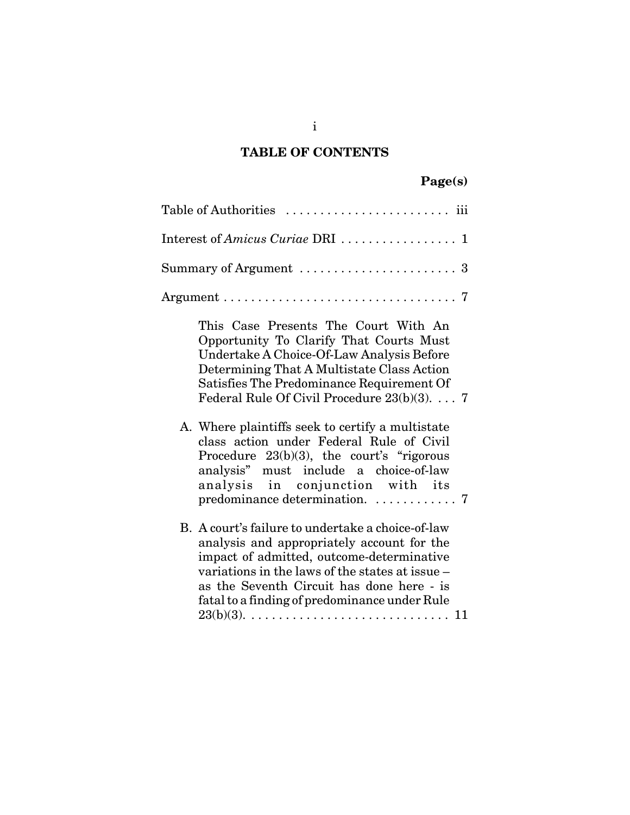## **TABLE OF CONTENTS**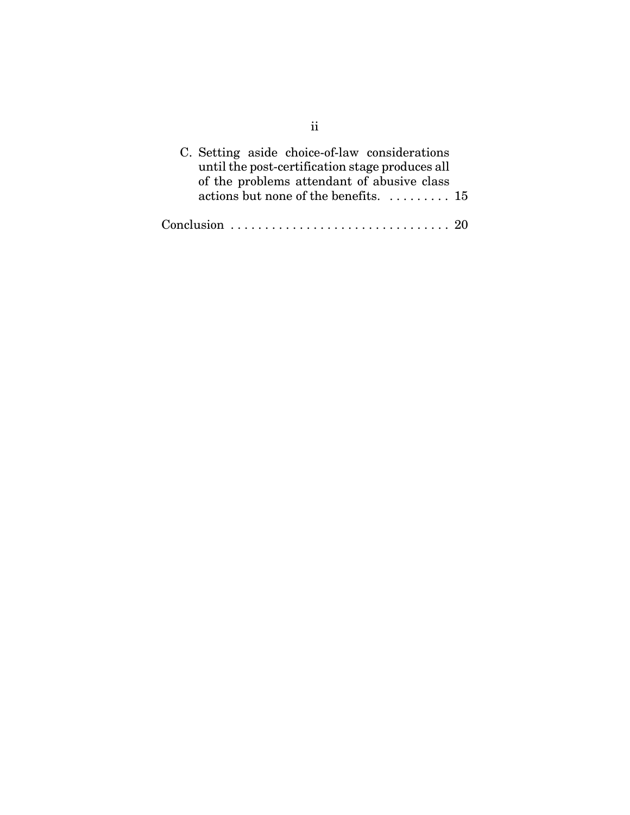| C. Setting aside choice-of-law considerations            |  |
|----------------------------------------------------------|--|
| until the post-certification stage produces all          |  |
| of the problems attendant of abusive class               |  |
| actions but none of the benefits. $\dots \dots \dots 15$ |  |
|                                                          |  |
|                                                          |  |

ii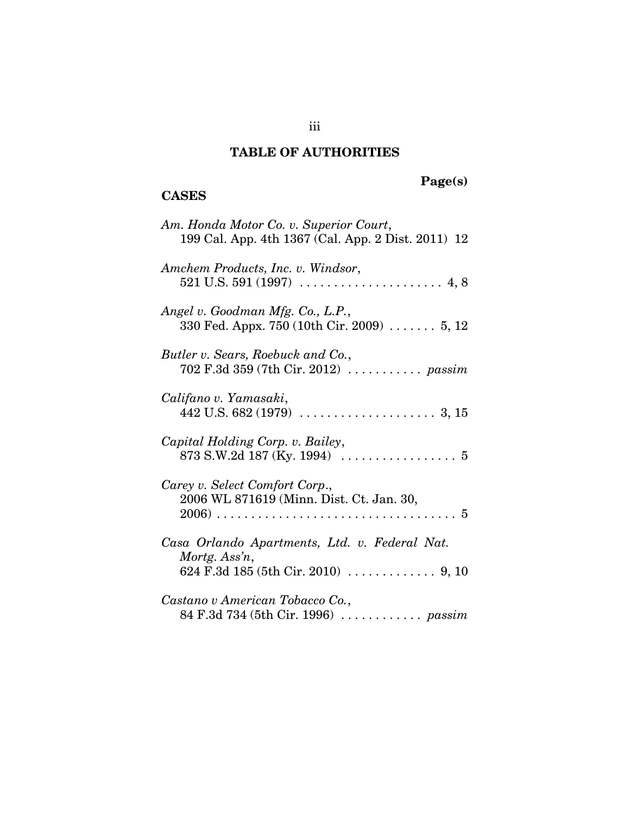## **TABLE OF AUTHORITIES**

## **CASES**

# **Page(s)**

| Am. Honda Motor Co. v. Superior Court,<br>199 Cal. App. 4th 1367 (Cal. App. 2 Dist. 2011) 12         |
|------------------------------------------------------------------------------------------------------|
| Amchem Products, Inc. v. Windsor,                                                                    |
| Angel v. Goodman Mfg. Co., L.P.,<br>330 Fed. Appx. 750 (10th Cir. 2009) $\dots \dots 5, 12$          |
| Butler v. Sears, Roebuck and Co.,<br>702 F.3d 359 (7th Cir. 2012)  passim                            |
| Califano v. Yamasaki,                                                                                |
| Capital Holding Corp. v. Bailey,<br>873 S.W.2d 187 (Ky. 1994) $\ldots \ldots \ldots \ldots \ldots 5$ |
| Carey v. Select Comfort Corp.,<br>2006 WL 871619 (Minn. Dist. Ct. Jan. 30,                           |
| Casa Orlando Apartments, Ltd. v. Federal Nat.<br>Mortg. Ass'n,                                       |
| Castano v American Tobacco Co.,<br>84 F.3d 734 (5th Cir. 1996)  passim                               |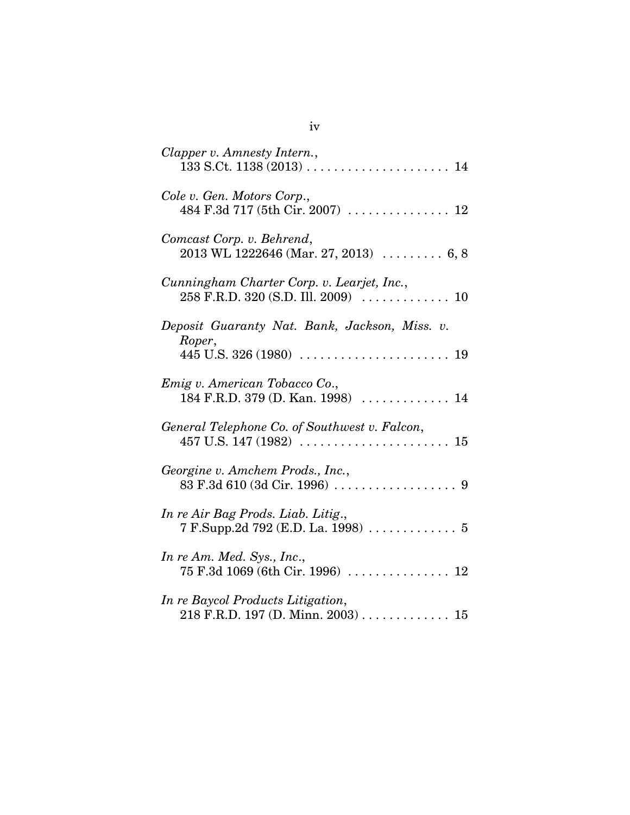| Clapper v. Amnesty Intern.,                                                                |
|--------------------------------------------------------------------------------------------|
| Cole v. Gen. Motors Corp.,<br>484 F.3d 717 (5th Cir. 2007)  12                             |
| Comcast Corp. v. Behrend,<br>$2013$ WL 1222646 (Mar. 27, 2013) $\ldots \ldots \ldots 6, 8$ |
| Cunningham Charter Corp. v. Learjet, Inc.,                                                 |
| Deposit Guaranty Nat. Bank, Jackson, Miss. v.<br>Roper,                                    |
| Emig v. American Tobacco Co.,<br>184 F.R.D. 379 (D. Kan. 1998)  14                         |
| General Telephone Co. of Southwest v. Falcon,                                              |
| Georgine v. Amchem Prods., Inc.,                                                           |
| In re Air Bag Prods. Liab. Litig.,<br>7 F.Supp.2d 792 (E.D. La. 1998)  5                   |
| In re Am. Med. Sys., Inc.,                                                                 |
| In re Baycol Products Litigation,<br>$218$ F.R.D. 197 (D. Minn. 2003) 15                   |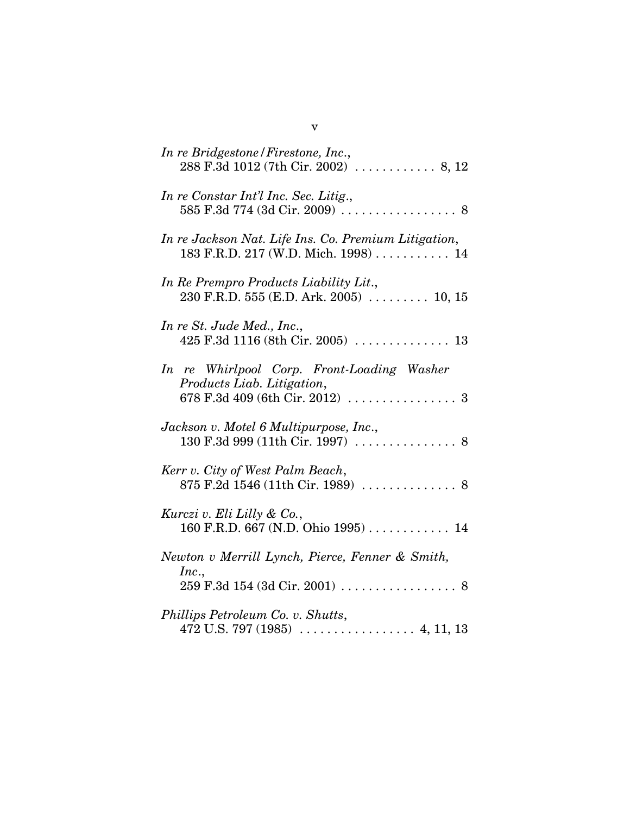| In re Bridgestone / Firestone, Inc.,                                                        |
|---------------------------------------------------------------------------------------------|
| In re Constar Int'l Inc. Sec. Litig.,<br>585 F.3d 774 (3d Cir. 2009)  8                     |
| In re Jackson Nat. Life Ins. Co. Premium Litigation,<br>183 F.R.D. 217 (W.D. Mich. 1998) 14 |
| In Re Prempro Products Liability Lit.,<br>230 F.R.D. 555 (E.D. Ark. 2005) $\ldots$ 10, 15   |
| In re St. Jude Med., Inc.,                                                                  |
| In re Whirlpool Corp. Front-Loading Washer<br>Products Liab. Litigation,                    |
| Jackson v. Motel 6 Multipurpose, Inc.,                                                      |
| Kerr v. City of West Palm Beach,<br>875 F.2d 1546 (11th Cir. 1989)  8                       |
| Kurczi v. Eli Lilly & Co.,<br>160 F.R.D. 667 (N.D. Ohio 1995)  14                           |
| Newton v Merrill Lynch, Pierce, Fenner & Smith,                                             |
| Inc.,                                                                                       |
| Phillips Petroleum Co. v. Shutts,                                                           |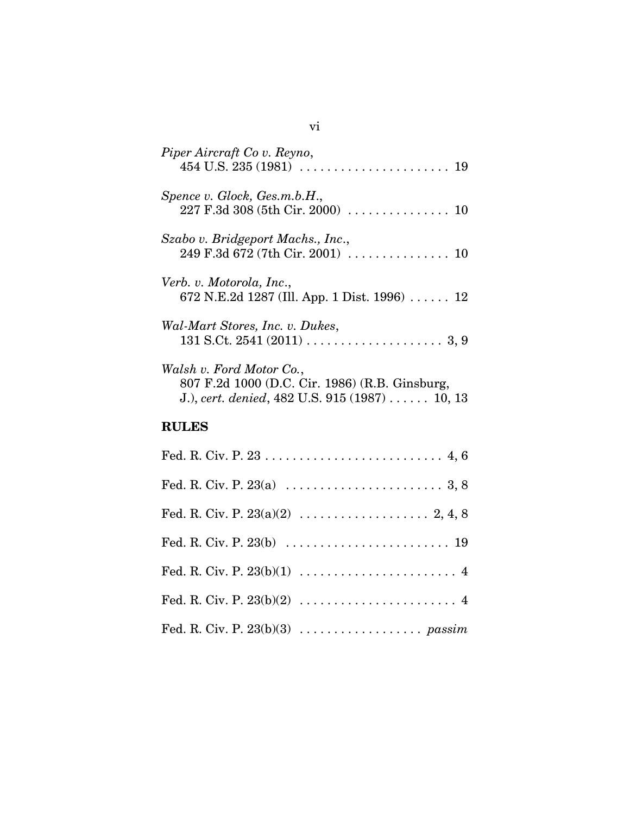| Piper Aircraft Co v. Reyno,                                                                                                       |
|-----------------------------------------------------------------------------------------------------------------------------------|
| Spence v. Glock, Ges.m.b.H.,<br>227 F.3d 308 (5th Cir. 2000)  10                                                                  |
| Szabo v. Bridgeport Machs., Inc.,                                                                                                 |
| Verb. v. Motorola, Inc.,<br>672 N.E.2d 1287 (Ill. App. 1 Dist. 1996) $\ldots$ . 12                                                |
| Wal-Mart Stores, Inc. v. Dukes,                                                                                                   |
| Walsh v. Ford Motor Co.,<br>807 F.2d 1000 (D.C. Cir. 1986) (R.B. Ginsburg,<br>J.), cert. denied, $482$ U.S. $915$ $(1987)$ 10, 13 |
| <b>RULES</b>                                                                                                                      |
|                                                                                                                                   |
|                                                                                                                                   |

Fed. R. Civ. P. 23(a)(2) . . . . . . . . . . . . . . . . . . . 2, 4, 8

Fed. R. Civ. P. 23(b) . . . . . . . . . . . . . . . . . . . . . . . . 19

Fed. R. Civ. P. 23(b)(1) . . . . . . . . . . . . . . . . . . . . . . . 4

Fed. R. Civ. P. 23(b)(2) . . . . . . . . . . . . . . . . . . . . . . . 4

Fed. R. Civ. P. 23(b)(3) . . . . . . . . . . . . . . . . . . *passim*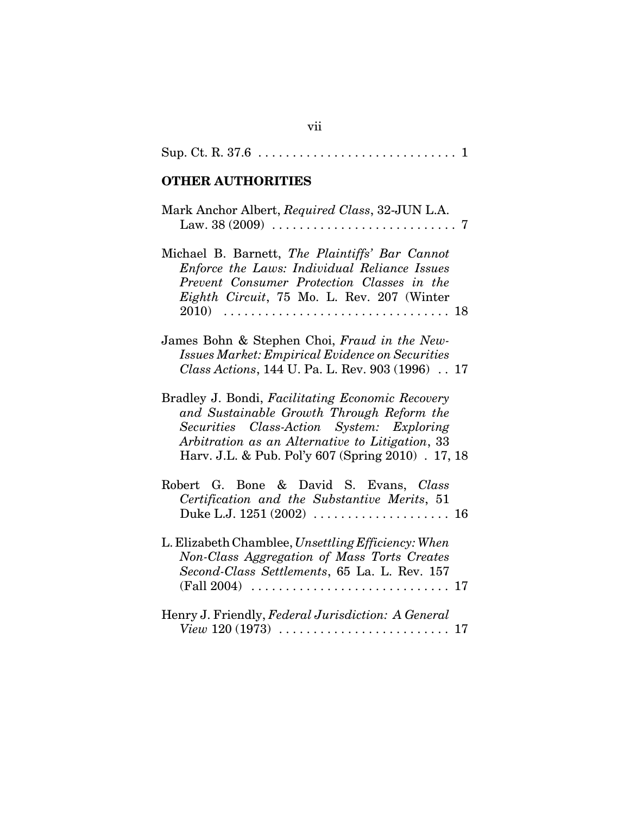|--|--|--|

## **OTHER AUTHORITIES**

| Mark Anchor Albert, Required Class, 32-JUN L.A.                                                                                                                                                                                                     |
|-----------------------------------------------------------------------------------------------------------------------------------------------------------------------------------------------------------------------------------------------------|
| Michael B. Barnett, The Plaintiffs' Bar Cannot<br>Enforce the Laws: Individual Reliance Issues<br>Prevent Consumer Protection Classes in the<br>Eighth Circuit, 75 Mo. L. Rev. 207 (Winter<br>$2010) \ldots$                                        |
| James Bohn & Stephen Choi, Fraud in the New-<br><b>Issues Market: Empirical Evidence on Securities</b><br>Class Actions, 144 U. Pa. L. Rev. 903 (1996) 17                                                                                           |
| Bradley J. Bondi, Facilitating Economic Recovery<br>and Sustainable Growth Through Reform the<br>Securities Class-Action System: Exploring<br>Arbitration as an Alternative to Litigation, 33<br>Harv. J.L. & Pub. Pol'y 607 (Spring 2010) . 17, 18 |
| Robert G. Bone & David S. Evans, Class<br>Certification and the Substantive Merits, 51                                                                                                                                                              |
| L. Elizabeth Chamblee, Unsettling Efficiency: When<br>Non-Class Aggregation of Mass Torts Creates<br>Second-Class Settlements, 65 La. L. Rev. 157                                                                                                   |
| Henry J. Friendly, Federal Jurisdiction: A General<br>17                                                                                                                                                                                            |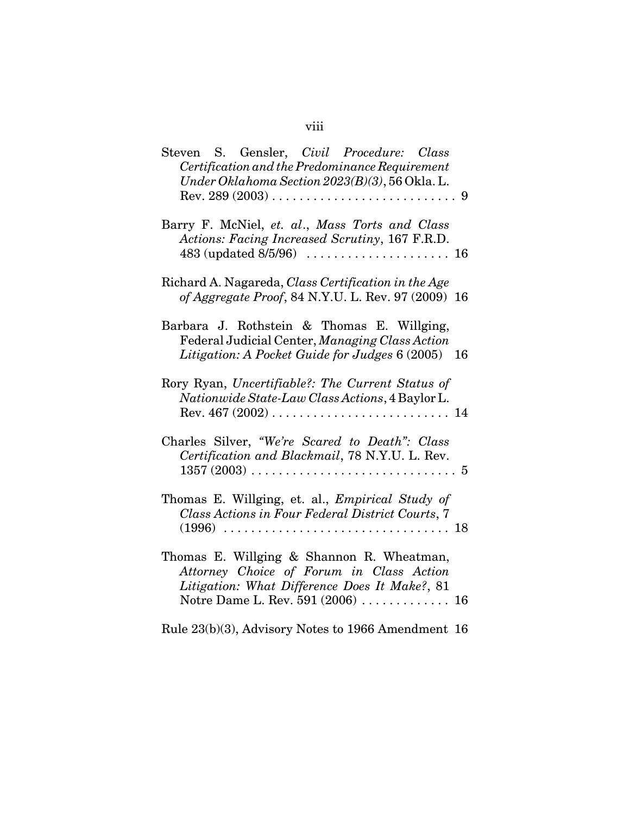# viii

| Steven S. Gensler, Civil Procedure: Class<br>Certification and the Predominance Requirement<br>Under Oklahoma Section 2023(B)(3), 56 Okla. L.                                      |
|------------------------------------------------------------------------------------------------------------------------------------------------------------------------------------|
| Barry F. McNiel, et. al., Mass Torts and Class<br>Actions: Facing Increased Scrutiny, 167 F.R.D.                                                                                   |
| Richard A. Nagareda, Class Certification in the Age<br>of Aggregate Proof, 84 N.Y.U. L. Rev. 97 (2009) 16                                                                          |
| Barbara J. Rothstein & Thomas E. Willging,<br>Federal Judicial Center, Managing Class Action<br>Litigation: A Pocket Guide for Judges 6 (2005) 16                                  |
| Rory Ryan, Uncertifiable?: The Current Status of<br>Nationwide State-Law Class Actions, 4 Baylor L.                                                                                |
| Charles Silver, "We're Scared to Death": Class<br>Certification and Blackmail, 78 N.Y.U. L. Rev.<br>$1357 (2003) \ldots \ldots \ldots \ldots \ldots \ldots \ldots \ldots \ldots 5$ |
| Thomas E. Willging, et. al., <i>Empirical Study of</i><br>Class Actions in Four Federal District Courts, 7                                                                         |
| Thomas E. Willging & Shannon R. Wheatman,<br>Attorney Choice of Forum in Class Action<br>Litigation: What Difference Does It Make?, 81<br>Notre Dame L. Rev. 591 (2006)  16        |
| Rule 23(b)(3), Advisory Notes to 1966 Amendment 16                                                                                                                                 |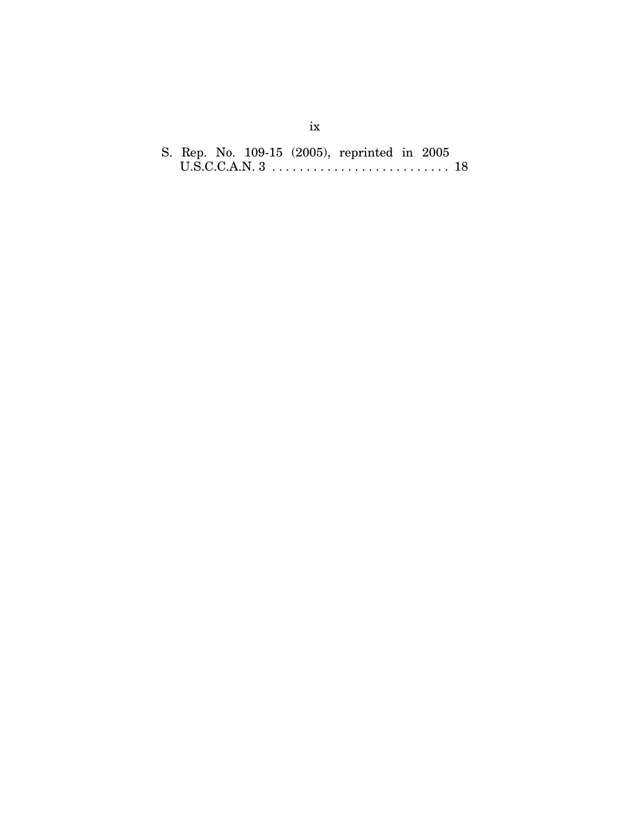|  |  | S. Rep. No. 109-15 (2005), reprinted in 2005 |  |  |
|--|--|----------------------------------------------|--|--|
|  |  |                                              |  |  |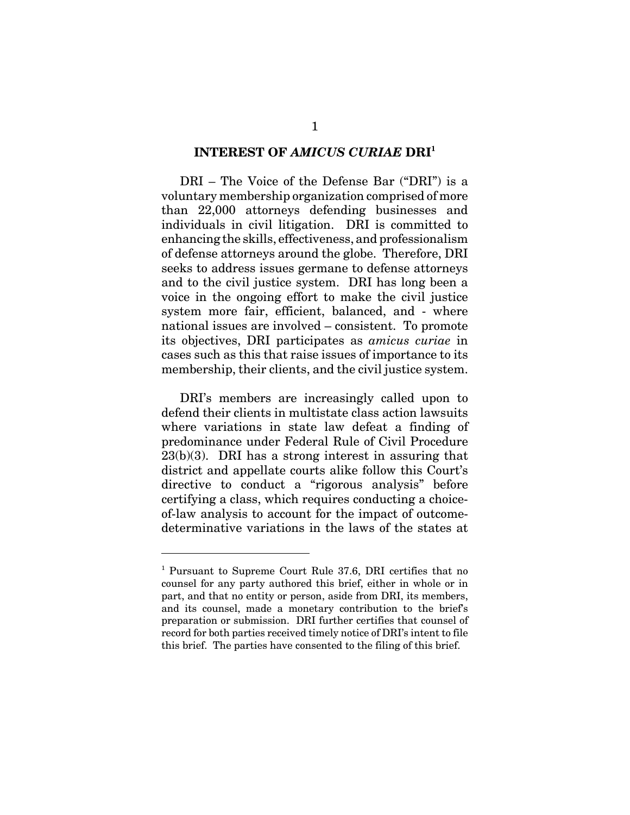#### **INTEREST OF** *AMICUS CURIAE* **DRI<sup>1</sup>**

DRI – The Voice of the Defense Bar ("DRI") is a voluntary membership organization comprised of more than 22,000 attorneys defending businesses and individuals in civil litigation. DRI is committed to enhancing the skills, effectiveness, and professionalism of defense attorneys around the globe. Therefore, DRI seeks to address issues germane to defense attorneys and to the civil justice system. DRI has long been a voice in the ongoing effort to make the civil justice system more fair, efficient, balanced, and - where national issues are involved – consistent. To promote its objectives, DRI participates as *amicus curiae* in cases such as this that raise issues of importance to its membership, their clients, and the civil justice system.

DRI's members are increasingly called upon to defend their clients in multistate class action lawsuits where variations in state law defeat a finding of predominance under Federal Rule of Civil Procedure 23(b)(3). DRI has a strong interest in assuring that district and appellate courts alike follow this Court's directive to conduct a "rigorous analysis" before certifying a class, which requires conducting a choiceof-law analysis to account for the impact of outcomedeterminative variations in the laws of the states at

<sup>&</sup>lt;sup>1</sup> Pursuant to Supreme Court Rule 37.6, DRI certifies that no counsel for any party authored this brief, either in whole or in part, and that no entity or person, aside from DRI, its members, and its counsel, made a monetary contribution to the brief's preparation or submission. DRI further certifies that counsel of record for both parties received timely notice of DRI's intent to file this brief. The parties have consented to the filing of this brief.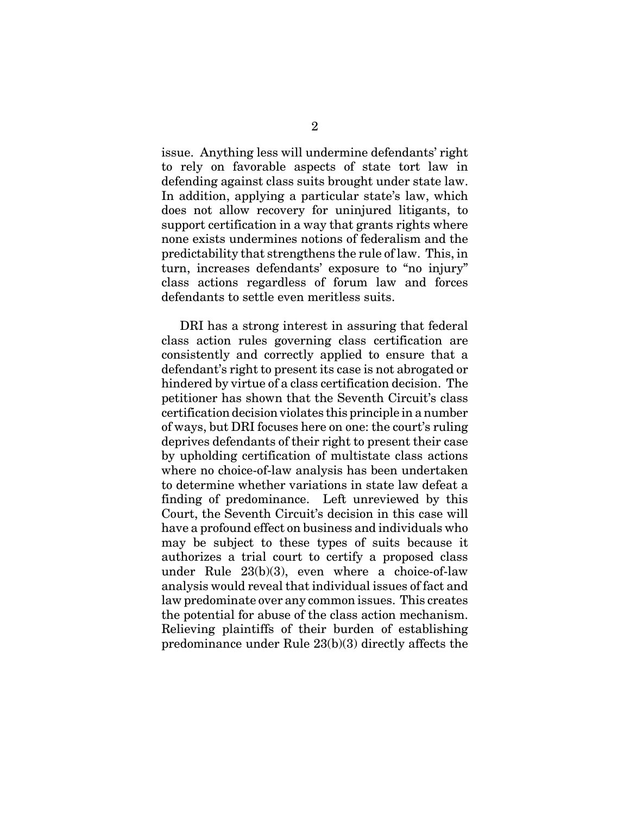issue. Anything less will undermine defendants' right to rely on favorable aspects of state tort law in defending against class suits brought under state law. In addition, applying a particular state's law, which does not allow recovery for uninjured litigants, to support certification in a way that grants rights where none exists undermines notions of federalism and the predictability that strengthens the rule of law. This, in turn, increases defendants' exposure to "no injury" class actions regardless of forum law and forces defendants to settle even meritless suits.

DRI has a strong interest in assuring that federal class action rules governing class certification are consistently and correctly applied to ensure that a defendant's right to present its case is not abrogated or hindered by virtue of a class certification decision. The petitioner has shown that the Seventh Circuit's class certification decision violates this principle in a number of ways, but DRI focuses here on one: the court's ruling deprives defendants of their right to present their case by upholding certification of multistate class actions where no choice-of-law analysis has been undertaken to determine whether variations in state law defeat a finding of predominance. Left unreviewed by this Court, the Seventh Circuit's decision in this case will have a profound effect on business and individuals who may be subject to these types of suits because it authorizes a trial court to certify a proposed class under Rule 23(b)(3), even where a choice-of-law analysis would reveal that individual issues of fact and law predominate over any common issues. This creates the potential for abuse of the class action mechanism. Relieving plaintiffs of their burden of establishing predominance under Rule 23(b)(3) directly affects the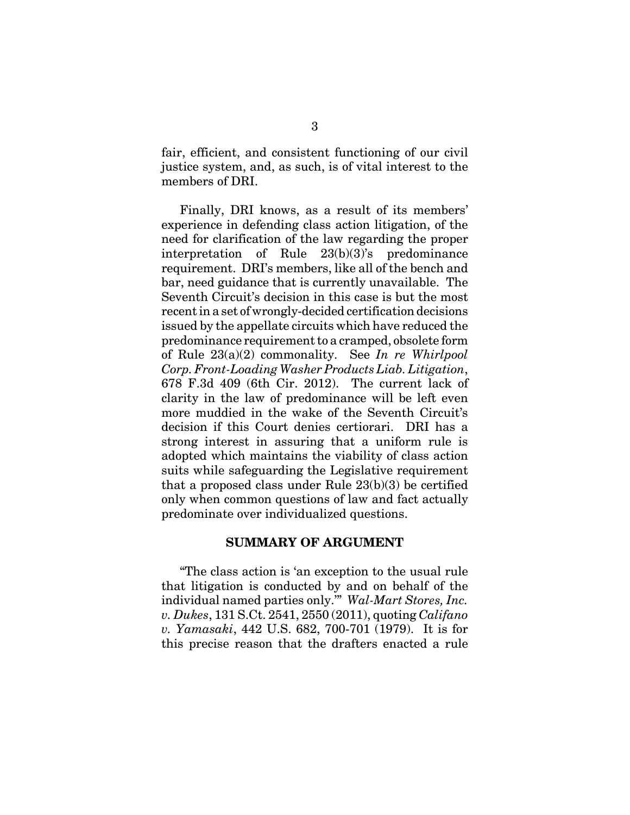fair, efficient, and consistent functioning of our civil justice system, and, as such, is of vital interest to the members of DRI.

Finally, DRI knows, as a result of its members' experience in defending class action litigation, of the need for clarification of the law regarding the proper interpretation of Rule 23(b)(3)'s predominance requirement. DRI's members, like all of the bench and bar, need guidance that is currently unavailable. The Seventh Circuit's decision in this case is but the most recent in a set of wrongly-decided certification decisions issued by the appellate circuits which have reduced the predominance requirement to a cramped, obsolete form of Rule 23(a)(2) commonality. See *In re Whirlpool Corp. Front-Loading Washer Products Liab. Litigation*, 678 F.3d 409 (6th Cir. 2012). The current lack of clarity in the law of predominance will be left even more muddied in the wake of the Seventh Circuit's decision if this Court denies certiorari. DRI has a strong interest in assuring that a uniform rule is adopted which maintains the viability of class action suits while safeguarding the Legislative requirement that a proposed class under Rule 23(b)(3) be certified only when common questions of law and fact actually predominate over individualized questions.

#### **SUMMARY OF ARGUMENT**

"The class action is 'an exception to the usual rule that litigation is conducted by and on behalf of the individual named parties only.'" *Wal-Mart Stores, Inc. v. Dukes*, 131 S.Ct. 2541, 2550 (2011), quoting *Califano v. Yamasaki*, 442 U.S. 682, 700-701 (1979). It is for this precise reason that the drafters enacted a rule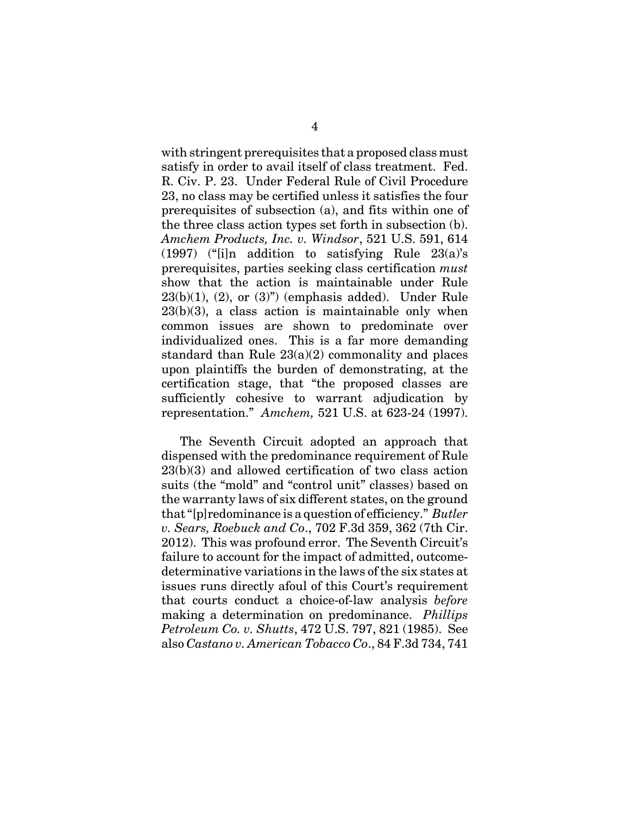with stringent prerequisites that a proposed class must satisfy in order to avail itself of class treatment. Fed. R. Civ. P. 23. Under Federal Rule of Civil Procedure 23, no class may be certified unless it satisfies the four prerequisites of subsection (a), and fits within one of the three class action types set forth in subsection (b). *Amchem Products, Inc. v. Windsor*, 521 U.S. 591, 614 (1997) ("[i]n addition to satisfying Rule 23(a)'s prerequisites, parties seeking class certification *must* show that the action is maintainable under Rule  $23(b)(1)$ ,  $(2)$ , or  $(3)$ " (emphasis added). Under Rule  $23(b)(3)$ , a class action is maintainable only when common issues are shown to predominate over individualized ones. This is a far more demanding standard than Rule  $23(a)(2)$  commonality and places upon plaintiffs the burden of demonstrating, at the certification stage, that "the proposed classes are sufficiently cohesive to warrant adjudication by representation." *Amchem,* 521 U.S. at 623-24 (1997).

The Seventh Circuit adopted an approach that dispensed with the predominance requirement of Rule 23(b)(3) and allowed certification of two class action suits (the "mold" and "control unit" classes) based on the warranty laws of six different states, on the ground that "[p]redominance is a question of efficiency." *Butler v. Sears, Roebuck and Co*., 702 F.3d 359, 362 (7th Cir. 2012). This was profound error. The Seventh Circuit's failure to account for the impact of admitted, outcomedeterminative variations in the laws of the six states at issues runs directly afoul of this Court's requirement that courts conduct a choice-of-law analysis *before* making a determination on predominance. *Phillips Petroleum Co. v. Shutts*, 472 U.S. 797, 821 (1985). See also *Castano v. American Tobacco Co*., 84 F.3d 734, 741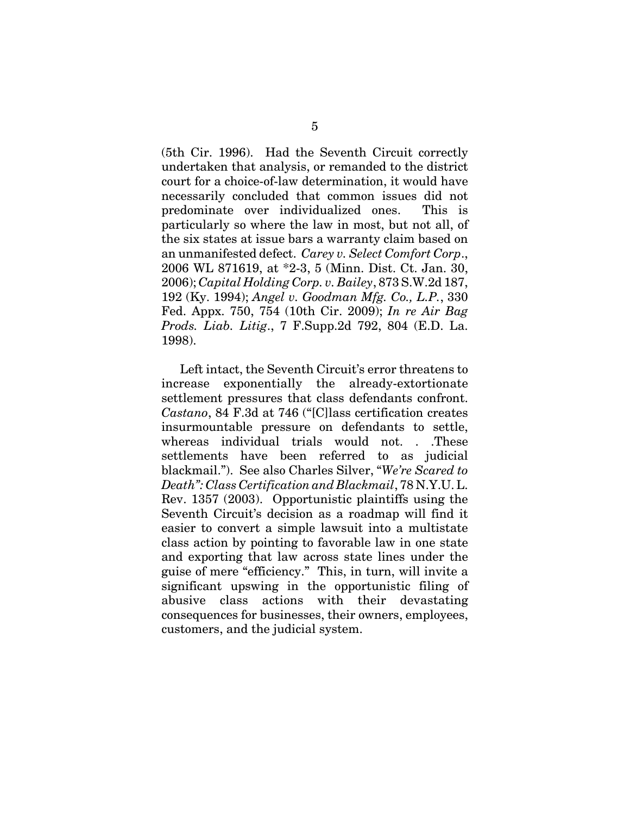(5th Cir. 1996). Had the Seventh Circuit correctly undertaken that analysis, or remanded to the district court for a choice-of-law determination, it would have necessarily concluded that common issues did not predominate over individualized ones. This is particularly so where the law in most, but not all, of the six states at issue bars a warranty claim based on an unmanifested defect. *Carey v. Select Comfort Corp*., 2006 WL 871619, at \*2-3, 5 (Minn. Dist. Ct. Jan. 30, 2006); *Capital Holding Corp. v. Bailey*, 873 S.W.2d 187, 192 (Ky. 1994); *Angel v. Goodman Mfg. Co., L.P.*, 330 Fed. Appx. 750, 754 (10th Cir. 2009); *In re Air Bag Prods. Liab. Litig*., 7 F.Supp.2d 792, 804 (E.D. La. 1998).

Left intact, the Seventh Circuit's error threatens to increase exponentially the already-extortionate settlement pressures that class defendants confront. *Castano*, 84 F.3d at 746 ("[C]lass certification creates insurmountable pressure on defendants to settle, whereas individual trials would not. . .These settlements have been referred to as judicial blackmail."). See also Charles Silver, "*We're Scared to Death": Class Certification and Blackmail*, 78 N.Y.U. L. Rev. 1357 (2003). Opportunistic plaintiffs using the Seventh Circuit's decision as a roadmap will find it easier to convert a simple lawsuit into a multistate class action by pointing to favorable law in one state and exporting that law across state lines under the guise of mere "efficiency." This, in turn, will invite a significant upswing in the opportunistic filing of abusive class actions with their devastating consequences for businesses, their owners, employees, customers, and the judicial system.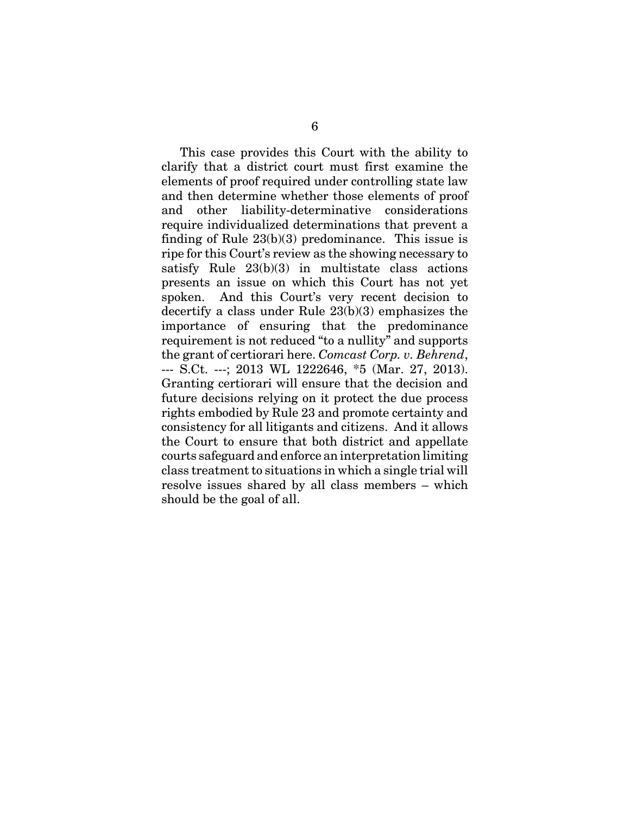This case provides this Court with the ability to clarify that a district court must first examine the elements of proof required under controlling state law and then determine whether those elements of proof and other liability-determinative considerations require individualized determinations that prevent a finding of Rule 23(b)(3) predominance. This issue is ripe for this Court's review as the showing necessary to satisfy Rule 23(b)(3) in multistate class actions presents an issue on which this Court has not yet spoken. And this Court's very recent decision to decertify a class under Rule 23(b)(3) emphasizes the importance of ensuring that the predominance requirement is not reduced "to a nullity" and supports the grant of certiorari here. *Comcast Corp. v. Behrend*, --- S.Ct. ---; 2013 WL 1222646, \*5 (Mar. 27, 2013). Granting certiorari will ensure that the decision and future decisions relying on it protect the due process rights embodied by Rule 23 and promote certainty and consistency for all litigants and citizens. And it allows the Court to ensure that both district and appellate courts safeguard and enforce an interpretation limiting class treatment to situations in which a single trial will resolve issues shared by all class members – which should be the goal of all.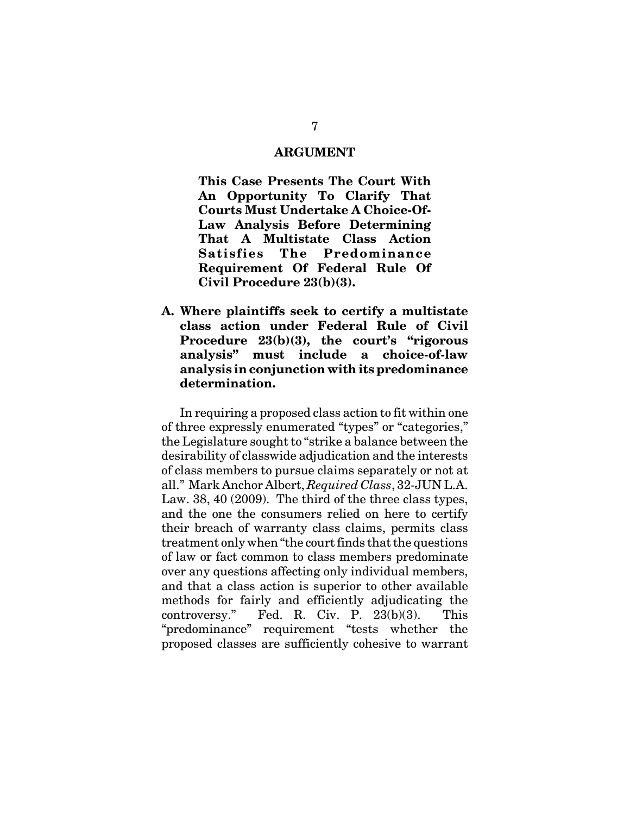#### **ARGUMENT**

**This Case Presents The Court With An Opportunity To Clarify That Courts Must Undertake A Choice-Of-Law Analysis Before Determining That A Multistate Class Action Satisfies The Predominance Requirement Of Federal Rule Of Civil Procedure 23(b)(3).** 

**A. Where plaintiffs seek to certify a multistate class action under Federal Rule of Civil Procedure 23(b)(3), the court's "rigorous analysis" must include a choice-of-law analysis in conjunction with its predominance determination.** 

In requiring a proposed class action to fit within one of three expressly enumerated "types" or "categories," the Legislature sought to "strike a balance between the desirability of classwide adjudication and the interests of class members to pursue claims separately or not at all." Mark Anchor Albert, *Required Class*, 32-JUN L.A. Law. 38, 40 (2009). The third of the three class types, and the one the consumers relied on here to certify their breach of warranty class claims, permits class treatment only when "the court finds that the questions of law or fact common to class members predominate over any questions affecting only individual members, and that a class action is superior to other available methods for fairly and efficiently adjudicating the controversy." Fed. R. Civ. P. 23(b)(3). This "predominance" requirement "tests whether the proposed classes are sufficiently cohesive to warrant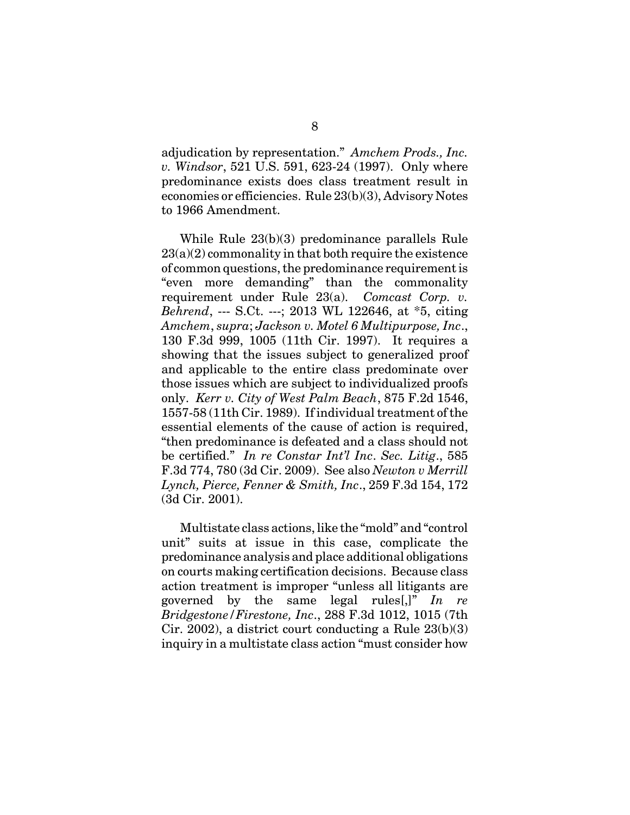adjudication by representation." *Amchem Prods., Inc. v. Windsor*, 521 U.S. 591, 623-24 (1997). Only where predominance exists does class treatment result in economies or efficiencies. Rule 23(b)(3), Advisory Notes to 1966 Amendment.

While Rule 23(b)(3) predominance parallels Rule  $23(a)(2)$  commonality in that both require the existence of common questions, the predominance requirement is "even more demanding" than the commonality requirement under Rule 23(a). *Comcast Corp. v. Behrend*, --- S.Ct. ---; 2013 WL 122646, at \*5, citing *Amchem*, *supra*; *Jackson v. Motel 6 Multipurpose, Inc*., 130 F.3d 999, 1005 (11th Cir. 1997). It requires a showing that the issues subject to generalized proof and applicable to the entire class predominate over those issues which are subject to individualized proofs only. *Kerr v. City of West Palm Beach*, 875 F.2d 1546, 1557-58 (11th Cir. 1989). If individual treatment of the essential elements of the cause of action is required, "then predominance is defeated and a class should not be certified." *In re Constar Int'l Inc*. *Sec. Litig*., 585 F.3d 774, 780 (3d Cir. 2009). See also *Newton v Merrill Lynch, Pierce, Fenner & Smith, Inc*., 259 F.3d 154, 172 (3d Cir. 2001).

Multistate class actions, like the "mold" and "control unit" suits at issue in this case, complicate the predominance analysis and place additional obligations on courts making certification decisions. Because class action treatment is improper "unless all litigants are governed by the same legal rules[,]" *In re Bridgestone/Firestone, Inc*., 288 F.3d 1012, 1015 (7th Cir. 2002), a district court conducting a Rule 23(b)(3) inquiry in a multistate class action "must consider how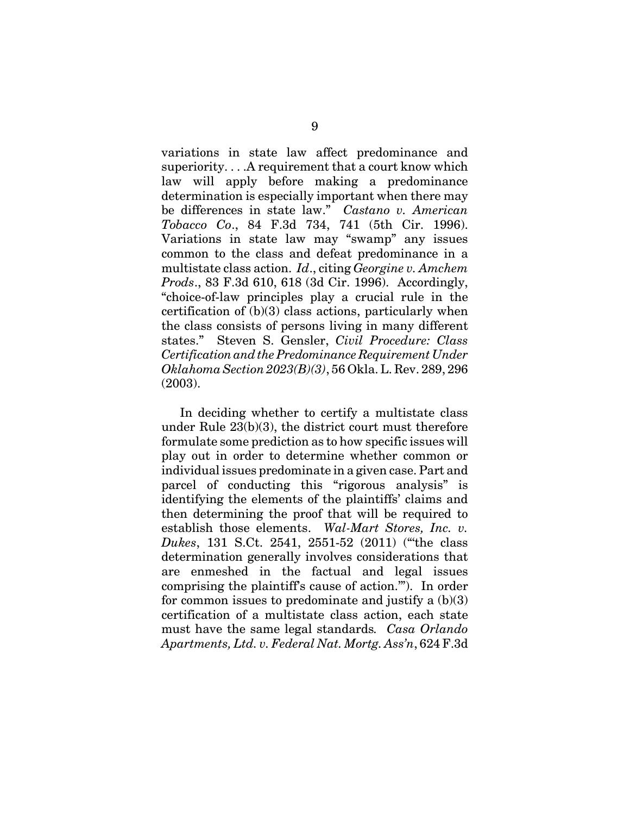variations in state law affect predominance and superiority. . . .A requirement that a court know which law will apply before making a predominance determination is especially important when there may be differences in state law." *Castano v. American Tobacco Co*., 84 F.3d 734, 741 (5th Cir. 1996). Variations in state law may "swamp" any issues common to the class and defeat predominance in a multistate class action. *Id*., citing *Georgine v. Amchem Prods*., 83 F.3d 610, 618 (3d Cir. 1996). Accordingly, "choice-of-law principles play a crucial rule in the certification of (b)(3) class actions, particularly when the class consists of persons living in many different states." Steven S. Gensler, *Civil Procedure: Class Certification and the Predominance Requirement Under Oklahoma Section 2023(B)(3)*, 56 Okla. L. Rev. 289, 296 (2003).

In deciding whether to certify a multistate class under Rule 23(b)(3), the district court must therefore formulate some prediction as to how specific issues will play out in order to determine whether common or individual issues predominate in a given case. Part and parcel of conducting this "rigorous analysis" is identifying the elements of the plaintiffs' claims and then determining the proof that will be required to establish those elements. *Wal-Mart Stores, Inc. v. Dukes*, 131 S.Ct. 2541, 2551-52 (2011) ("'the class determination generally involves considerations that are enmeshed in the factual and legal issues comprising the plaintiff's cause of action.'"). In order for common issues to predominate and justify a  $(b)(3)$ certification of a multistate class action, each state must have the same legal standards*. Casa Orlando Apartments, Ltd. v. Federal Nat. Mortg. Ass'n*, 624 F.3d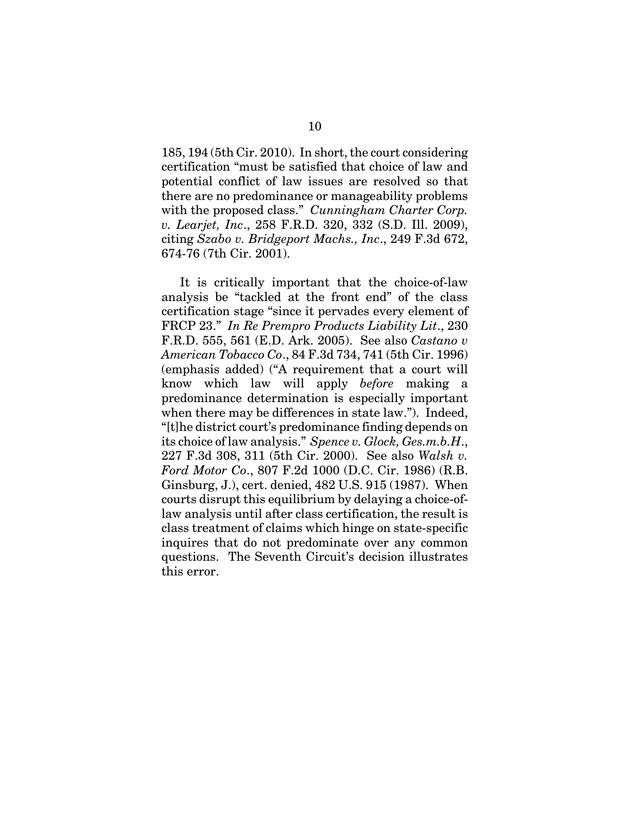185, 194 (5th Cir. 2010). In short, the court considering certification "must be satisfied that choice of law and potential conflict of law issues are resolved so that there are no predominance or manageability problems with the proposed class." *Cunningham Charter Corp. v. Learjet, Inc*., 258 F.R.D. 320, 332 (S.D. Ill. 2009), citing *Szabo v. Bridgeport Machs., Inc*., 249 F.3d 672, 674-76 (7th Cir. 2001).

It is critically important that the choice-of-law analysis be "tackled at the front end" of the class certification stage "since it pervades every element of FRCP 23." *In Re Prempro Products Liability Lit*., 230 F.R.D. 555, 561 (E.D. Ark. 2005). See also *Castano v American Tobacco Co*., 84 F.3d 734, 741 (5th Cir. 1996) (emphasis added) ("A requirement that a court will know which law will apply *before* making a predominance determination is especially important when there may be differences in state law."). Indeed, "[t]he district court's predominance finding depends on its choice of law analysis." *Spence v. Glock, Ges.m.b.H*., 227 F.3d 308, 311 (5th Cir. 2000). See also *Walsh v. Ford Motor Co*., 807 F.2d 1000 (D.C. Cir. 1986) (R.B. Ginsburg, J.), cert. denied, 482 U.S. 915 (1987). When courts disrupt this equilibrium by delaying a choice-oflaw analysis until after class certification, the result is class treatment of claims which hinge on state-specific inquires that do not predominate over any common questions. The Seventh Circuit's decision illustrates this error.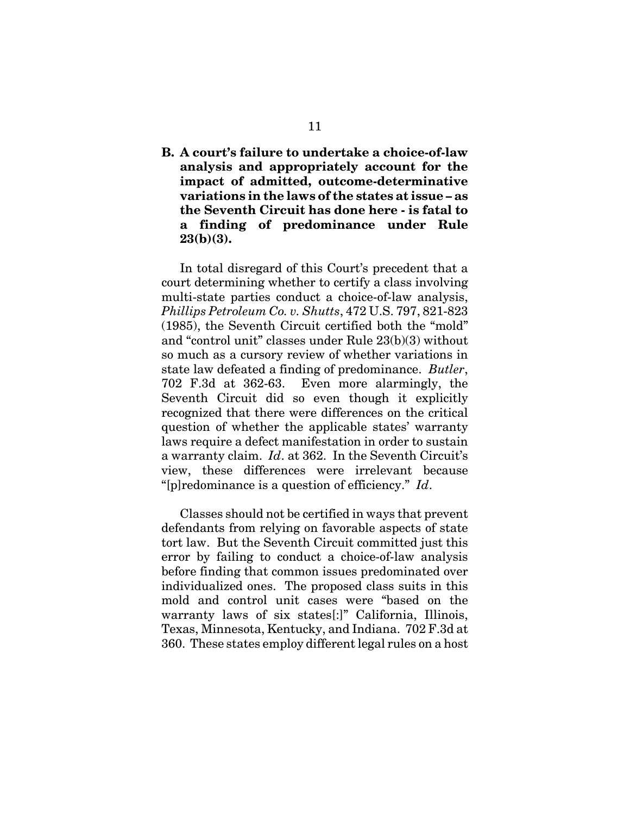**B. A court's failure to undertake a choice-of-law analysis and appropriately account for the impact of admitted, outcome-determinative variations in the laws of the states at issue – as the Seventh Circuit has done here - is fatal to a finding of predominance under Rule 23(b)(3).** 

In total disregard of this Court's precedent that a court determining whether to certify a class involving multi-state parties conduct a choice-of-law analysis, *Phillips Petroleum Co. v. Shutts*, 472 U.S. 797, 821-823 (1985), the Seventh Circuit certified both the "mold" and "control unit" classes under Rule 23(b)(3) without so much as a cursory review of whether variations in state law defeated a finding of predominance. *Butler*, 702 F.3d at 362-63. Even more alarmingly, the Seventh Circuit did so even though it explicitly recognized that there were differences on the critical question of whether the applicable states' warranty laws require a defect manifestation in order to sustain a warranty claim. *Id*. at 362. In the Seventh Circuit's view, these differences were irrelevant because "[p]redominance is a question of efficiency." *Id*.

Classes should not be certified in ways that prevent defendants from relying on favorable aspects of state tort law. But the Seventh Circuit committed just this error by failing to conduct a choice-of-law analysis before finding that common issues predominated over individualized ones. The proposed class suits in this mold and control unit cases were "based on the warranty laws of six states<sup>[:]"</sup> California, Illinois, Texas, Minnesota, Kentucky, and Indiana. 702 F.3d at 360. These states employ different legal rules on a host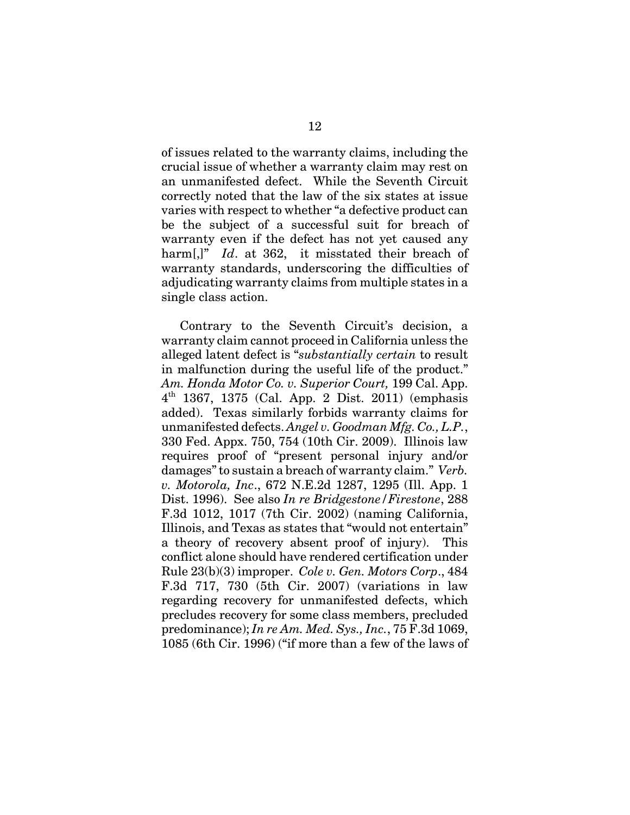of issues related to the warranty claims, including the crucial issue of whether a warranty claim may rest on an unmanifested defect. While the Seventh Circuit correctly noted that the law of the six states at issue varies with respect to whether "a defective product can be the subject of a successful suit for breach of warranty even if the defect has not yet caused any harm[,]" *Id.* at 362, it misstated their breach of warranty standards, underscoring the difficulties of adjudicating warranty claims from multiple states in a single class action.

Contrary to the Seventh Circuit's decision, a warranty claim cannot proceed in California unless the alleged latent defect is "*substantially certain* to result in malfunction during the useful life of the product." *Am. Honda Motor Co. v. Superior Court,* 199 Cal. App.  $4^{th}$  1367, 1375 (Cal. App. 2 Dist. 2011) (emphasis added). Texas similarly forbids warranty claims for unmanifested defects. *Angel v. Goodman Mfg. Co., L.P.*, 330 Fed. Appx. 750, 754 (10th Cir. 2009). Illinois law requires proof of "present personal injury and/or damages" to sustain a breach of warranty claim." *Verb. v. Motorola, Inc*., 672 N.E.2d 1287, 1295 (Ill. App. 1 Dist. 1996). See also *In re Bridgestone/Firestone*, 288 F.3d 1012, 1017 (7th Cir. 2002) (naming California, Illinois, and Texas as states that "would not entertain" a theory of recovery absent proof of injury). This conflict alone should have rendered certification under Rule 23(b)(3) improper. *Cole v. Gen. Motors Corp*., 484 F.3d 717, 730 (5th Cir. 2007) (variations in law regarding recovery for unmanifested defects, which precludes recovery for some class members, precluded predominance); *In re Am. Med. Sys., Inc.*, 75 F.3d 1069, 1085 (6th Cir. 1996) ("if more than a few of the laws of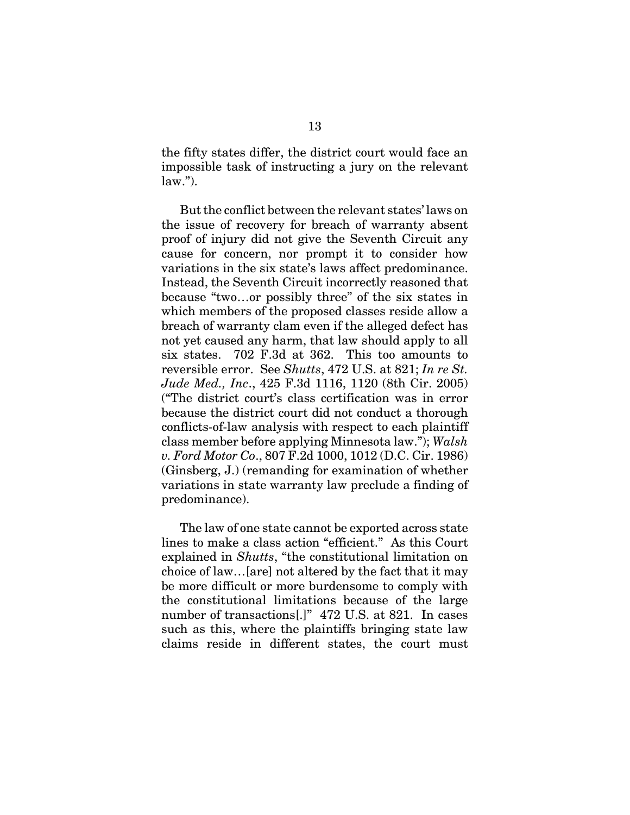the fifty states differ, the district court would face an impossible task of instructing a jury on the relevant  $law.$ ").

But the conflict between the relevant states' laws on the issue of recovery for breach of warranty absent proof of injury did not give the Seventh Circuit any cause for concern, nor prompt it to consider how variations in the six state's laws affect predominance. Instead, the Seventh Circuit incorrectly reasoned that because "two…or possibly three" of the six states in which members of the proposed classes reside allow a breach of warranty clam even if the alleged defect has not yet caused any harm, that law should apply to all six states. 702 F.3d at 362. This too amounts to reversible error. See *Shutts*, 472 U.S. at 821; *In re St. Jude Med., Inc*., 425 F.3d 1116, 1120 (8th Cir. 2005) ("The district court's class certification was in error because the district court did not conduct a thorough conflicts-of-law analysis with respect to each plaintiff class member before applying Minnesota law."); *Walsh v. Ford Motor Co*., 807 F.2d 1000, 1012 (D.C. Cir. 1986) (Ginsberg, J.) (remanding for examination of whether variations in state warranty law preclude a finding of predominance).

The law of one state cannot be exported across state lines to make a class action "efficient." As this Court explained in *Shutts*, "the constitutional limitation on choice of law…[are] not altered by the fact that it may be more difficult or more burdensome to comply with the constitutional limitations because of the large number of transactions[.]" 472 U.S. at 821. In cases such as this, where the plaintiffs bringing state law claims reside in different states, the court must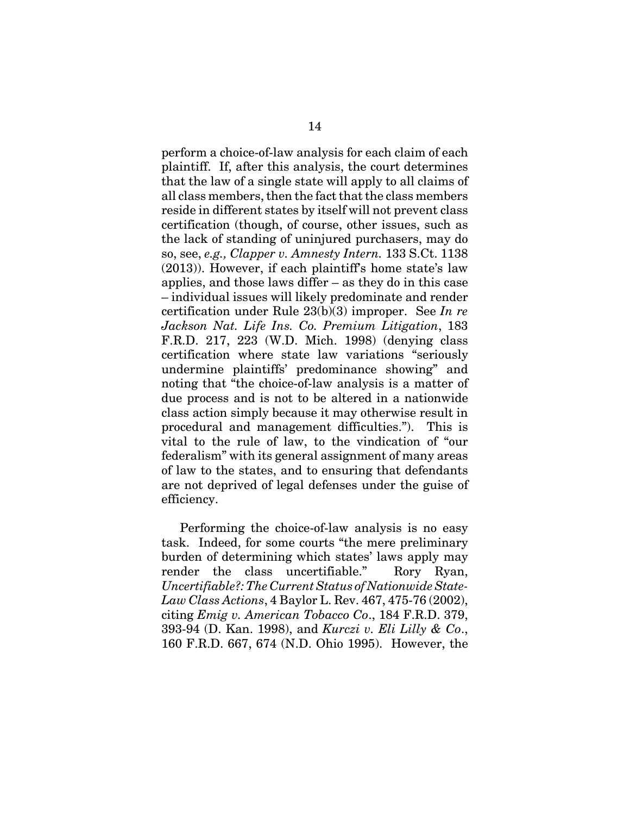perform a choice-of-law analysis for each claim of each plaintiff. If, after this analysis, the court determines that the law of a single state will apply to all claims of all class members, then the fact that the class members reside in different states by itself will not prevent class certification (though, of course, other issues, such as the lack of standing of uninjured purchasers, may do so, see, *e.g., Clapper v. Amnesty Intern.* 133 S.Ct. 1138 (2013)). However, if each plaintiff's home state's law applies, and those laws differ – as they do in this case – individual issues will likely predominate and render certification under Rule 23(b)(3) improper. See *In re Jackson Nat. Life Ins. Co. Premium Litigation*, 183 F.R.D. 217, 223 (W.D. Mich. 1998) (denying class certification where state law variations "seriously undermine plaintiffs' predominance showing" and noting that "the choice-of-law analysis is a matter of due process and is not to be altered in a nationwide class action simply because it may otherwise result in procedural and management difficulties."). This is vital to the rule of law, to the vindication of "our federalism" with its general assignment of many areas of law to the states, and to ensuring that defendants are not deprived of legal defenses under the guise of efficiency.

Performing the choice-of-law analysis is no easy task. Indeed, for some courts "the mere preliminary burden of determining which states' laws apply may render the class uncertifiable." Rory Ryan, *Uncertifiable?: The Current Status of Nationwide State-Law Class Actions*, 4 Baylor L. Rev. 467, 475-76 (2002), citing *Emig v. American Tobacco Co*., 184 F.R.D. 379, 393-94 (D. Kan. 1998), and *Kurczi v. Eli Lilly & Co*., 160 F.R.D. 667, 674 (N.D. Ohio 1995). However, the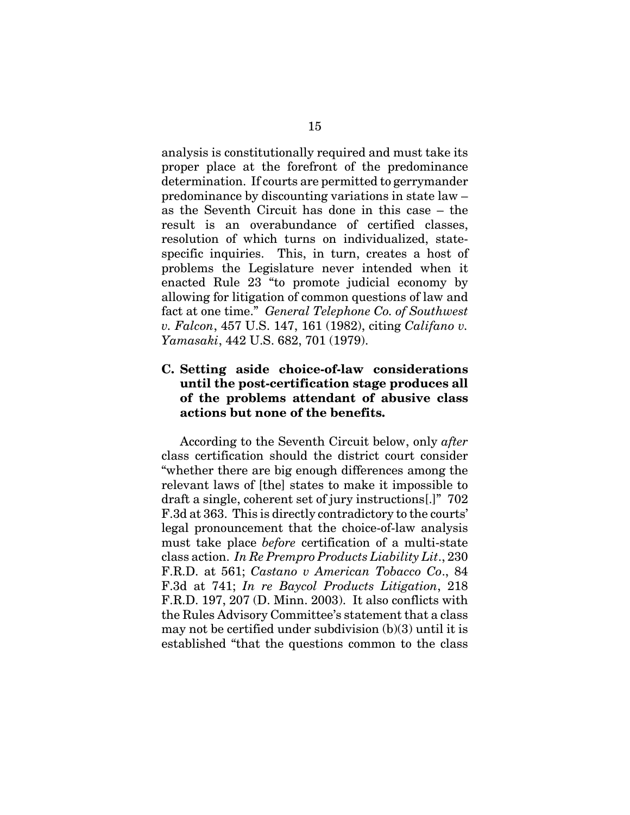analysis is constitutionally required and must take its proper place at the forefront of the predominance determination. If courts are permitted to gerrymander predominance by discounting variations in state law – as the Seventh Circuit has done in this case – the result is an overabundance of certified classes, resolution of which turns on individualized, statespecific inquiries. This, in turn, creates a host of problems the Legislature never intended when it enacted Rule 23 "to promote judicial economy by allowing for litigation of common questions of law and fact at one time." *General Telephone Co. of Southwest v. Falcon*, 457 U.S. 147, 161 (1982), citing *Califano v. Yamasaki*, 442 U.S. 682, 701 (1979).

### **C. Setting aside choice-of-law considerations until the post-certification stage produces all of the problems attendant of abusive class actions but none of the benefits.**

According to the Seventh Circuit below, only *after* class certification should the district court consider "whether there are big enough differences among the relevant laws of [the] states to make it impossible to draft a single, coherent set of jury instructions[.]" 702 F.3d at 363. This is directly contradictory to the courts' legal pronouncement that the choice-of-law analysis must take place *before* certification of a multi-state class action. *In Re Prempro Products Liability Lit*., 230 F.R.D. at 561; *Castano v American Tobacco Co*., 84 F.3d at 741; *In re Baycol Products Litigation*, 218 F.R.D. 197, 207 (D. Minn. 2003). It also conflicts with the Rules Advisory Committee's statement that a class may not be certified under subdivision (b)(3) until it is established "that the questions common to the class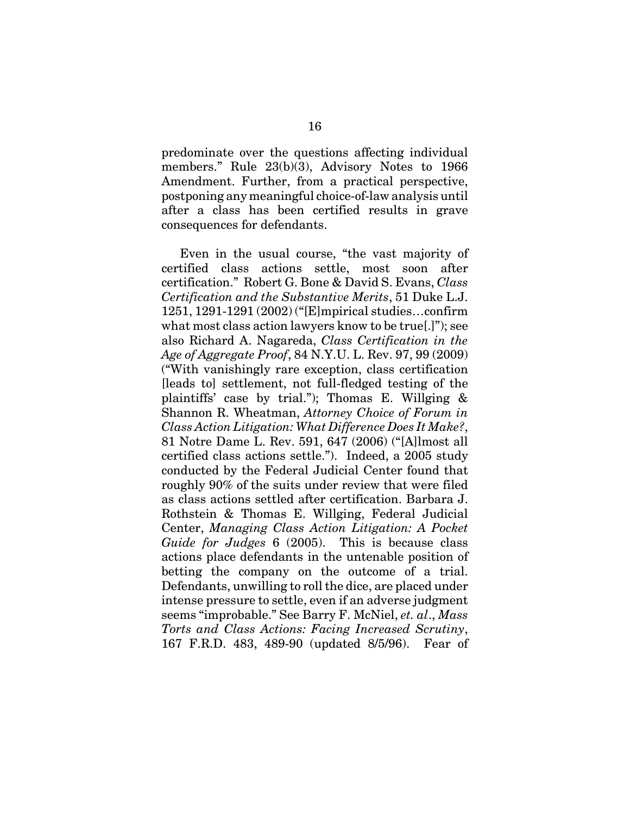predominate over the questions affecting individual members." Rule 23(b)(3), Advisory Notes to 1966 Amendment. Further, from a practical perspective, postponing any meaningful choice-of-law analysis until after a class has been certified results in grave consequences for defendants.

Even in the usual course, "the vast majority of certified class actions settle, most soon after certification." Robert G. Bone & David S. Evans, *Class Certification and the Substantive Merits*, 51 Duke L.J. 1251, 1291-1291 (2002) ("[E]mpirical studies…confirm what most class action lawyers know to be true[.]"); see also Richard A. Nagareda, *Class Certification in the Age of Aggregate Proof*, 84 N.Y.U. L. Rev. 97, 99 (2009) ("With vanishingly rare exception, class certification [leads to] settlement, not full-fledged testing of the plaintiffs' case by trial."); Thomas E. Willging & Shannon R. Wheatman, *Attorney Choice of Forum in Class Action Litigation: What Difference Does It Make?*, 81 Notre Dame L. Rev. 591, 647 (2006) ("[A]lmost all certified class actions settle."). Indeed, a 2005 study conducted by the Federal Judicial Center found that roughly 90% of the suits under review that were filed as class actions settled after certification. Barbara J. Rothstein & Thomas E. Willging, Federal Judicial Center, *Managing Class Action Litigation: A Pocket Guide for Judges* 6 (2005). This is because class actions place defendants in the untenable position of betting the company on the outcome of a trial. Defendants, unwilling to roll the dice, are placed under intense pressure to settle, even if an adverse judgment seems "improbable." See Barry F. McNiel, *et. al*., *Mass Torts and Class Actions: Facing Increased Scrutiny*, 167 F.R.D. 483, 489-90 (updated 8/5/96). Fear of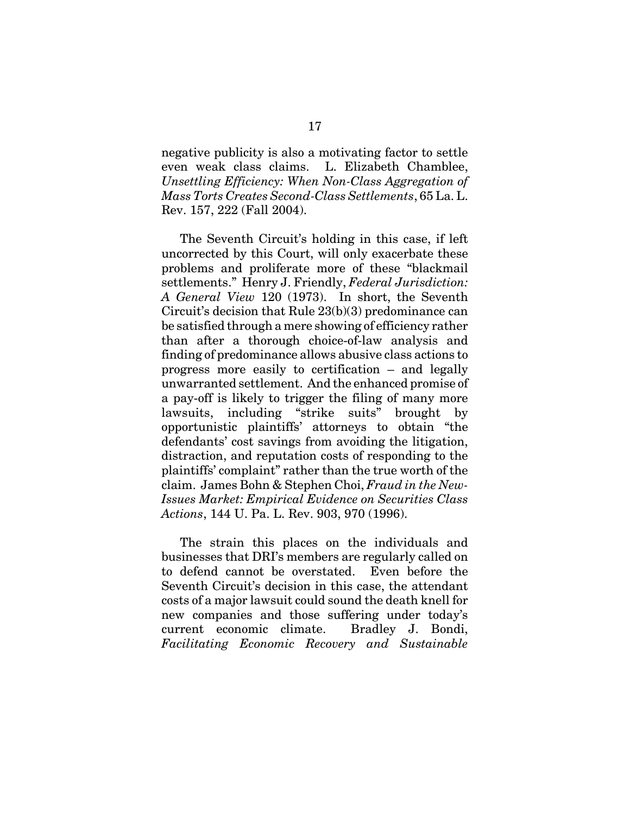negative publicity is also a motivating factor to settle even weak class claims. L. Elizabeth Chamblee, *Unsettling Efficiency: When Non-Class Aggregation of Mass Torts Creates Second-Class Settlements*, 65 La. L. Rev. 157, 222 (Fall 2004).

The Seventh Circuit's holding in this case, if left uncorrected by this Court, will only exacerbate these problems and proliferate more of these "blackmail settlements." Henry J. Friendly, *Federal Jurisdiction: A General View* 120 (1973). In short, the Seventh Circuit's decision that Rule 23(b)(3) predominance can be satisfied through a mere showing of efficiency rather than after a thorough choice-of-law analysis and finding of predominance allows abusive class actions to progress more easily to certification – and legally unwarranted settlement. And the enhanced promise of a pay-off is likely to trigger the filing of many more lawsuits, including "strike suits" brought by opportunistic plaintiffs' attorneys to obtain "the defendants' cost savings from avoiding the litigation, distraction, and reputation costs of responding to the plaintiffs' complaint" rather than the true worth of the claim. James Bohn & Stephen Choi, *Fraud in the New-Issues Market: Empirical Evidence on Securities Class Actions*, 144 U. Pa. L. Rev. 903, 970 (1996).

The strain this places on the individuals and businesses that DRI's members are regularly called on to defend cannot be overstated. Even before the Seventh Circuit's decision in this case, the attendant costs of a major lawsuit could sound the death knell for new companies and those suffering under today's current economic climate. Bradley J. Bondi, *Facilitating Economic Recovery and Sustainable*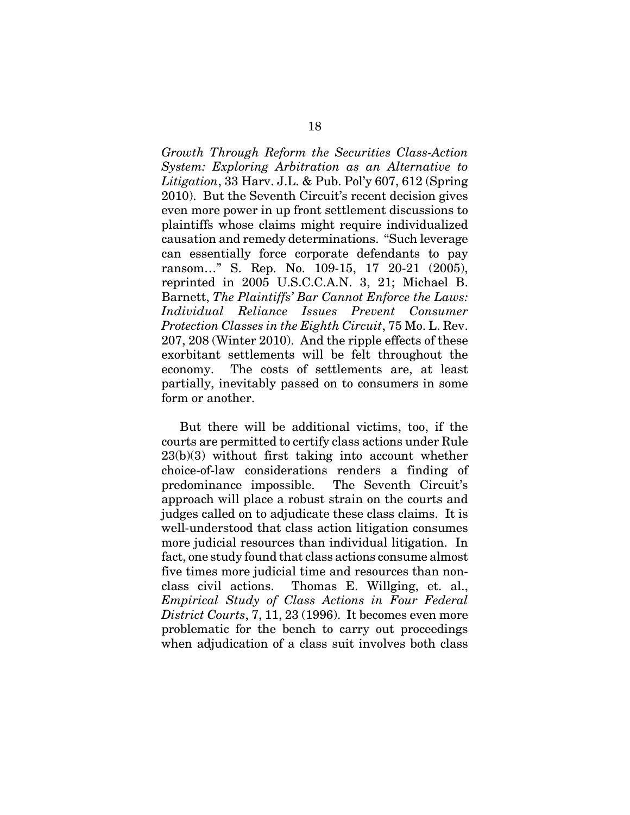*Growth Through Reform the Securities Class-Action System: Exploring Arbitration as an Alternative to Litigation*, 33 Harv. J.L. & Pub. Pol'y 607, 612 (Spring 2010). But the Seventh Circuit's recent decision gives even more power in up front settlement discussions to plaintiffs whose claims might require individualized causation and remedy determinations. "Such leverage can essentially force corporate defendants to pay ransom…" S. Rep. No. 109-15, 17 20-21 (2005), reprinted in 2005 U.S.C.C.A.N. 3, 21; Michael B. Barnett, *The Plaintiffs' Bar Cannot Enforce the Laws: Individual Reliance Issues Prevent Consumer Protection Classes in the Eighth Circuit*, 75 Mo. L. Rev. 207, 208 (Winter 2010). And the ripple effects of these exorbitant settlements will be felt throughout the economy. The costs of settlements are, at least partially, inevitably passed on to consumers in some form or another.

But there will be additional victims, too, if the courts are permitted to certify class actions under Rule 23(b)(3) without first taking into account whether choice-of-law considerations renders a finding of predominance impossible. The Seventh Circuit's approach will place a robust strain on the courts and judges called on to adjudicate these class claims. It is well-understood that class action litigation consumes more judicial resources than individual litigation. In fact, one study found that class actions consume almost five times more judicial time and resources than nonclass civil actions. Thomas E. Willging, et. al., *Empirical Study of Class Actions in Four Federal District Courts*, 7, 11, 23 (1996). It becomes even more problematic for the bench to carry out proceedings when adjudication of a class suit involves both class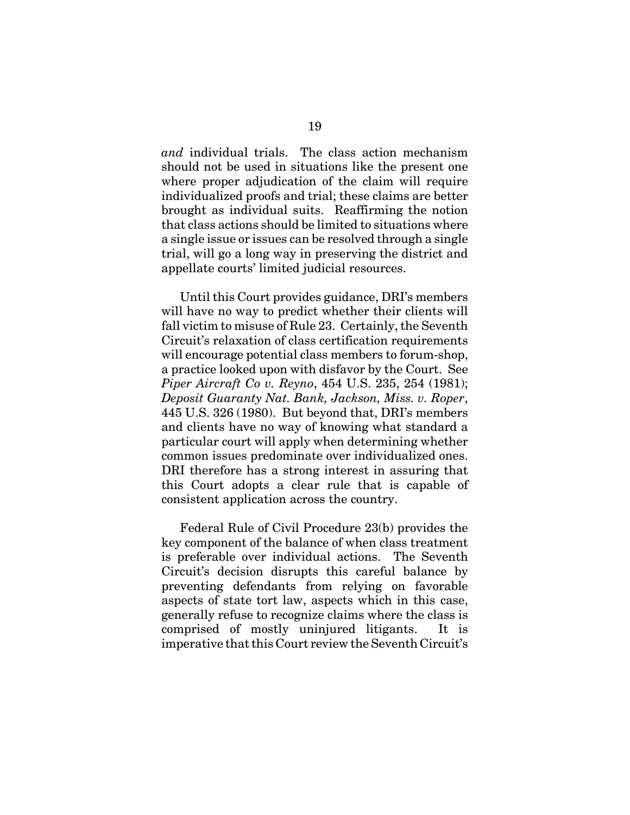*and* individual trials. The class action mechanism should not be used in situations like the present one where proper adjudication of the claim will require individualized proofs and trial; these claims are better brought as individual suits. Reaffirming the notion that class actions should be limited to situations where a single issue or issues can be resolved through a single trial, will go a long way in preserving the district and appellate courts' limited judicial resources.

Until this Court provides guidance, DRI's members will have no way to predict whether their clients will fall victim to misuse of Rule 23. Certainly, the Seventh Circuit's relaxation of class certification requirements will encourage potential class members to forum-shop, a practice looked upon with disfavor by the Court. See *Piper Aircraft Co v. Reyno*, 454 U.S. 235, 254 (1981); *Deposit Guaranty Nat. Bank, Jackson, Miss. v. Roper*, 445 U.S. 326 (1980). But beyond that, DRI's members and clients have no way of knowing what standard a particular court will apply when determining whether common issues predominate over individualized ones. DRI therefore has a strong interest in assuring that this Court adopts a clear rule that is capable of consistent application across the country.

Federal Rule of Civil Procedure 23(b) provides the key component of the balance of when class treatment is preferable over individual actions. The Seventh Circuit's decision disrupts this careful balance by preventing defendants from relying on favorable aspects of state tort law, aspects which in this case, generally refuse to recognize claims where the class is comprised of mostly uninjured litigants. It is imperative that this Court review the Seventh Circuit's